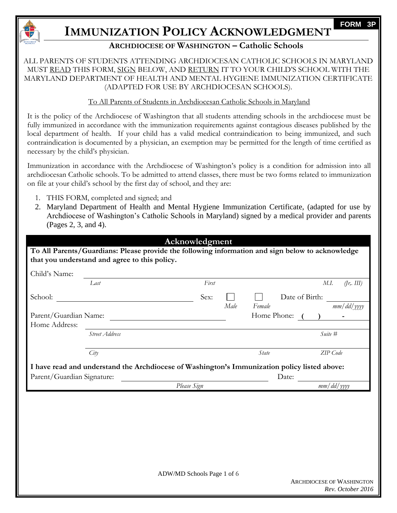

# **IMMUNIZATION POLICY ACKNOWLEDGMENT**

## **ARCHDIOCESE OF WASHINGTON – Catholic Schools**

### ALL PARENTS OF STUDENTS ATTENDING ARCHDIOCESAN CATHOLIC SCHOOLS IN MARYLAND MUST READ THIS FORM, SIGN BELOW, AND RETURN IT TO YOUR CHILD'S SCHOOL WITH THE MARYLAND DEPARTMENT OF HEALTH AND MENTAL HYGIENE IMMUNIZATION CERTIFICATE (ADAPTED FOR USE BY ARCHDIOCESAN SCHOOLS).

### To All Parents of Students in Archdiocesan Catholic Schools in Maryland

It is the policy of the Archdiocese of Washington that all students attending schools in the archdiocese must be fully immunized in accordance with the immunization requirements against contagious diseases published by the local department of health. If your child has a valid medical contraindication to being immunized, and such contraindication is documented by a physician, an exemption may be permitted for the length of time certified as necessary by the child's physician.

Immunization in accordance with the Archdiocese of Washington's policy is a condition for admission into all archdiocesan Catholic schools. To be admitted to attend classes, there must be two forms related to immunization on file at your child's school by the first day of school, and they are:

- 1. THIS FORM, completed and signed; and
- 2. Maryland Department of Health and Mental Hygiene Immunization Certificate, (adapted for use by Archdiocese of Washington's Catholic Schools in Maryland) signed by a medical provider and parents (Pages 2, 3, and 4).

# **Acknowledgment**

**To All Parents/Guardians: Please provide the following information and sign below to acknowledge that you understand and agree to this policy.**

| Child's Name:              |                                                                                              |             |      |                |                   |
|----------------------------|----------------------------------------------------------------------------------------------|-------------|------|----------------|-------------------|
|                            | Last                                                                                         | First       |      |                | (fr, III)<br>M.I. |
| School:                    |                                                                                              | Sex:        |      | Date of Birth: |                   |
|                            |                                                                                              |             | Male | Female         | mm/dd/yyyy        |
| Parent/Guardian Name:      |                                                                                              |             |      | Home Phone:    |                   |
| Home Address:              |                                                                                              |             |      |                |                   |
|                            | Street Address                                                                               |             |      |                | Suite #           |
|                            | City                                                                                         |             |      | <i>State</i>   | ZIP Code          |
|                            | I have read and understand the Archdiocese of Washington's Immunization policy listed above: |             |      |                |                   |
| Parent/Guardian Signature: |                                                                                              |             |      | Date:          |                   |
|                            |                                                                                              | Please Sign |      |                | $mm/dd/$ yyyy     |

**FORM 3P**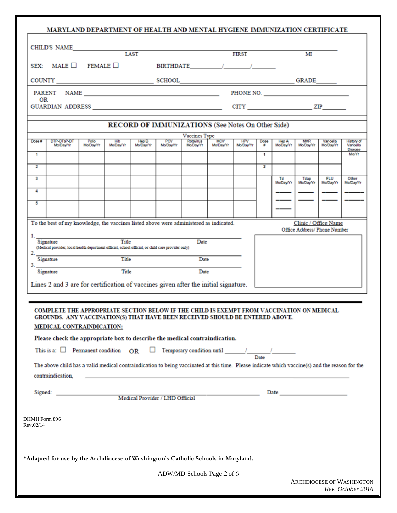| MARYLAND DEPARTMENT OF HEALTH AND MENTAL HYGIENE IMMUNIZATION CERTIFICATE                                                                                                                                                                                                                                                                                                                                                                                                                               |                    |                  |                    |                  |                                                                                                                                                                                                                                                                                                                                                                                                                                                                                                                                                                                                                                         |                         |                         |                |                    |                                                      |                        |                                                    |
|---------------------------------------------------------------------------------------------------------------------------------------------------------------------------------------------------------------------------------------------------------------------------------------------------------------------------------------------------------------------------------------------------------------------------------------------------------------------------------------------------------|--------------------|------------------|--------------------|------------------|-----------------------------------------------------------------------------------------------------------------------------------------------------------------------------------------------------------------------------------------------------------------------------------------------------------------------------------------------------------------------------------------------------------------------------------------------------------------------------------------------------------------------------------------------------------------------------------------------------------------------------------------|-------------------------|-------------------------|----------------|--------------------|------------------------------------------------------|------------------------|----------------------------------------------------|
| CHILD'S NAME                                                                                                                                                                                                                                                                                                                                                                                                                                                                                            |                    |                  | LAST               |                  |                                                                                                                                                                                                                                                                                                                                                                                                                                                                                                                                                                                                                                         |                         | <b>FIRST</b>            |                |                    | м                                                    |                        |                                                    |
| SEX: MALE $\Box$ FEMALE $\Box$                                                                                                                                                                                                                                                                                                                                                                                                                                                                          |                    |                  |                    |                  | BIRTHDATE / /                                                                                                                                                                                                                                                                                                                                                                                                                                                                                                                                                                                                                           |                         |                         |                |                    |                                                      |                        |                                                    |
|                                                                                                                                                                                                                                                                                                                                                                                                                                                                                                         |                    |                  |                    |                  |                                                                                                                                                                                                                                                                                                                                                                                                                                                                                                                                                                                                                                         |                         |                         |                |                    |                                                      |                        |                                                    |
| PARENT NAME PARENT NAME                                                                                                                                                                                                                                                                                                                                                                                                                                                                                 |                    |                  |                    |                  |                                                                                                                                                                                                                                                                                                                                                                                                                                                                                                                                                                                                                                         |                         |                         |                |                    |                                                      |                        |                                                    |
| OR                                                                                                                                                                                                                                                                                                                                                                                                                                                                                                      |                    |                  |                    |                  |                                                                                                                                                                                                                                                                                                                                                                                                                                                                                                                                                                                                                                         |                         |                         |                |                    |                                                      |                        |                                                    |
|                                                                                                                                                                                                                                                                                                                                                                                                                                                                                                         |                    |                  |                    |                  |                                                                                                                                                                                                                                                                                                                                                                                                                                                                                                                                                                                                                                         |                         |                         |                |                    |                                                      |                        |                                                    |
|                                                                                                                                                                                                                                                                                                                                                                                                                                                                                                         |                    |                  |                    |                  | RECORD OF IMMUNIZATIONS (See Notes On Other Side)<br><b>Vaccines Type</b>                                                                                                                                                                                                                                                                                                                                                                                                                                                                                                                                                               |                         |                         |                |                    |                                                      |                        |                                                    |
| DTP-DTaP-DT<br>Dose #<br>Mo/Day/Yr<br>1                                                                                                                                                                                                                                                                                                                                                                                                                                                                 | Polio<br>Mo/Day/Yr | Hib<br>Mo/Day/Yr | Hep B<br>Mo/Day/Yr | PCV<br>Mo/Day/Yr | Rotavirus<br>Mo/Day/Yr                                                                                                                                                                                                                                                                                                                                                                                                                                                                                                                                                                                                                  | <b>MCV</b><br>Mo/Day/Yr | <b>HPV</b><br>Mo/Day/Yr | Dose<br>۰<br>1 | Hep A<br>Mo/Day/Yr | <b>MMR</b><br>Mo/Day/Yr                              | Varicella<br>Mo/Day/Yr | <b>History of</b><br>Varicella<br>Disease<br>Mo/Yr |
| $\overline{2}$                                                                                                                                                                                                                                                                                                                                                                                                                                                                                          |                    |                  |                    |                  |                                                                                                                                                                                                                                                                                                                                                                                                                                                                                                                                                                                                                                         |                         |                         | 2              |                    |                                                      |                        |                                                    |
| з                                                                                                                                                                                                                                                                                                                                                                                                                                                                                                       |                    |                  |                    |                  |                                                                                                                                                                                                                                                                                                                                                                                                                                                                                                                                                                                                                                         |                         |                         |                | Td                 | Tdap                                                 | <b>FLU</b>             | Other                                              |
| 4                                                                                                                                                                                                                                                                                                                                                                                                                                                                                                       |                    |                  |                    |                  |                                                                                                                                                                                                                                                                                                                                                                                                                                                                                                                                                                                                                                         |                         |                         |                | Mo/Day/Yr          | Mo/Day/Yr                                            | Mo/Day/Yr              | Mo/Day/Yr                                          |
| 5                                                                                                                                                                                                                                                                                                                                                                                                                                                                                                       |                    |                  |                    |                  |                                                                                                                                                                                                                                                                                                                                                                                                                                                                                                                                                                                                                                         |                         |                         |                |                    |                                                      |                        |                                                    |
|                                                                                                                                                                                                                                                                                                                                                                                                                                                                                                         |                    |                  |                    |                  |                                                                                                                                                                                                                                                                                                                                                                                                                                                                                                                                                                                                                                         |                         |                         |                |                    |                                                      |                        |                                                    |
| To the best of my knowledge, the vaccines listed above were administered as indicated.                                                                                                                                                                                                                                                                                                                                                                                                                  |                    |                  |                    |                  |                                                                                                                                                                                                                                                                                                                                                                                                                                                                                                                                                                                                                                         |                         |                         |                |                    | Clinic / Office Name<br>Office Address/ Phone Number |                        |                                                    |
| 1.<br>Signature<br>(Medical provider, local health department official, school official, or child care provider only)<br>$2^{\circ}$                                                                                                                                                                                                                                                                                                                                                                    |                    | Title            |                    |                  | Date                                                                                                                                                                                                                                                                                                                                                                                                                                                                                                                                                                                                                                    |                         |                         |                |                    |                                                      |                        |                                                    |
| Signature<br>3.                                                                                                                                                                                                                                                                                                                                                                                                                                                                                         |                    | Title            |                    |                  | Date                                                                                                                                                                                                                                                                                                                                                                                                                                                                                                                                                                                                                                    |                         |                         |                |                    |                                                      |                        |                                                    |
| Signature                                                                                                                                                                                                                                                                                                                                                                                                                                                                                               |                    | Title            |                    |                  | Date                                                                                                                                                                                                                                                                                                                                                                                                                                                                                                                                                                                                                                    |                         |                         |                |                    |                                                      |                        |                                                    |
| Lines 2 and 3 are for certification of vaccines given after the initial signature.                                                                                                                                                                                                                                                                                                                                                                                                                      |                    |                  |                    |                  |                                                                                                                                                                                                                                                                                                                                                                                                                                                                                                                                                                                                                                         |                         |                         |                |                    |                                                      |                        |                                                    |
| COMPLETE THE APPROPRIATE SECTION BELOW IF THE CHILD IS EXEMPT FROM VACCINATION ON MEDICAL<br>GROUNDS. ANY VACCINATION(S) THAT HAVE BEEN RECEIVED SHOULD BE ENTERED ABOVE.<br>MEDICAL CONTRAINDICATION:<br>Please check the appropriate box to describe the medical contraindication.<br>This is a: $\Box$ Permanent condition OR<br>The above child has a valid medical contraindication to being vaccinated at this time. Please indicate which vaccine(s) and the reason for the<br>contraindication. |                    |                  |                    |                  | $\begin{tabular}{ c c c } \hline \quad \quad & \quad \quad & \quad \quad & \quad \quad \\ \hline \quad \quad & \quad \quad & \quad \quad & \quad \quad \\ \hline \quad \quad & \quad \quad & \quad \quad & \quad \quad \\ \hline \quad \quad & \quad \quad & \quad \quad & \quad \quad \\ \hline \quad \quad & \quad \quad & \quad \quad & \quad \quad \\ \hline \quad \quad & \quad \quad & \quad \quad & \quad \quad \\ \hline \quad \quad & \quad \quad & \quad \quad & \quad \quad \\ \hline \end{tabular}$<br><u> 1989 - Andrea Santa Andrea Santa Andrea Santa Andrea Santa Andrea Santa Andrea Santa Andrea Santa Andrea San</u> |                         |                         |                |                    |                                                      |                        |                                                    |
|                                                                                                                                                                                                                                                                                                                                                                                                                                                                                                         |                    |                  |                    |                  |                                                                                                                                                                                                                                                                                                                                                                                                                                                                                                                                                                                                                                         |                         |                         |                |                    |                                                      |                        |                                                    |
|                                                                                                                                                                                                                                                                                                                                                                                                                                                                                                         |                    |                  |                    |                  |                                                                                                                                                                                                                                                                                                                                                                                                                                                                                                                                                                                                                                         |                         |                         |                |                    |                                                      |                        |                                                    |
| DHMH Form 896<br>Rev.02/14                                                                                                                                                                                                                                                                                                                                                                                                                                                                              |                    |                  |                    |                  |                                                                                                                                                                                                                                                                                                                                                                                                                                                                                                                                                                                                                                         |                         |                         |                |                    |                                                      |                        |                                                    |
| *Adapted for use by the Archdiocese of Washington's Catholic Schools in Maryland.                                                                                                                                                                                                                                                                                                                                                                                                                       |                    |                  |                    |                  |                                                                                                                                                                                                                                                                                                                                                                                                                                                                                                                                                                                                                                         |                         |                         |                |                    |                                                      |                        |                                                    |
|                                                                                                                                                                                                                                                                                                                                                                                                                                                                                                         |                    |                  |                    |                  | ADW/MD Schools Page 2 of 6                                                                                                                                                                                                                                                                                                                                                                                                                                                                                                                                                                                                              |                         |                         |                |                    |                                                      |                        |                                                    |
|                                                                                                                                                                                                                                                                                                                                                                                                                                                                                                         |                    |                  |                    |                  |                                                                                                                                                                                                                                                                                                                                                                                                                                                                                                                                                                                                                                         |                         |                         |                |                    | <b>ARCHDIOCESE OF WASHINGTON</b>                     |                        |                                                    |

*Rev. October 2016*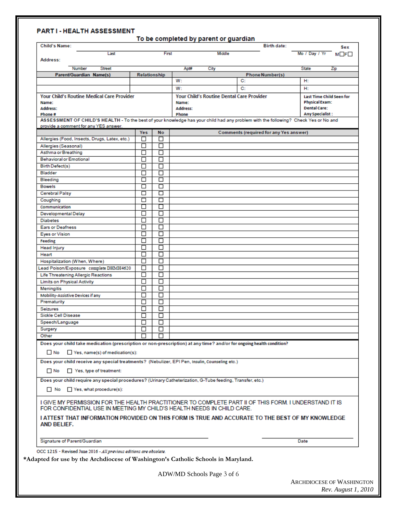#### **PARTI-HEALTH ASSESSMENT**

| First<br>Middle<br>Mo / Day / Yr<br>Last<br>Address:<br><b>Street</b><br><b>State</b><br>Number<br>Apt#<br>City<br>Zip<br>Parent/Guardian Name(s)<br>Relationship<br><b>Phone Number(s)</b><br>H:<br>W:<br>C:<br>W:<br>C:<br>H:<br><b>Your Child's Routine Medical Care Provider</b><br><b>Your Child's Routine Dental Care Provider</b><br><b>Last Time Child Seen for</b><br><b>Physical Exam:</b><br>Name:<br>Name:<br><b>Dental Care:</b><br>Address:<br>Address:<br><b>Any Specialist:</b><br>Phone#<br>Phone<br>ASSESSMENT OF CHILD'S HEALTH - To the best of your knowledge has your child had any problem with the following? Check Yes or No and<br>provide a comment for any YES answer.<br>Yes<br><b>No</b><br>Comments (required for any Yes answer)<br>◻<br>□<br>Allergies (Food, Insects, Drugs, Latex, etc.)<br>□<br>□<br>Allergies (Seasonal)<br>П<br>П<br>Asthma or Breathing<br><b>Behavioral or Emotional</b><br>□<br>П<br>帀<br>П<br>Birth Defect(s)<br>п<br>Bladder<br>□<br>$\overline{\Box}$<br>п<br>Bleeding<br>□<br>□<br><b>Bowels</b><br>帀<br>□<br><b>Cerebral Palsy</b><br>□<br>□<br>Coughing<br>П<br>Communication<br>П<br>Developmental Delay<br>□<br>П<br>П<br>□<br><b>Diabetes</b><br><b>Ears or Deafness</b><br>П<br>$\Box$<br>П<br>П<br><b>Eyes or Vision</b><br>Feeding<br>$\Box$<br>П<br>П<br>□<br><b>Head Injury</b><br>П<br>Heart<br>$\Box$<br>П<br>П<br>Hospitalization (When, Where)<br>Lead Poison/Exposure complete DHMH4620<br>□<br>□<br>П<br>П<br>Life Threatening Allergic Reactions<br><b>Limits on Physical Activity</b><br>П<br>$\Box$<br>П<br>п<br>Meningitis<br><b>Mobility-Assistive Devices if any</b><br>□<br>П<br>П<br>П<br>Prematurity<br>П<br>□<br>Seizures<br>П<br><b>Sickle Cell Disease</b><br>П<br>Speech/Language<br>ப<br>□<br>□<br>Surgery<br>Other<br>П<br>Does your child take medication (prescription or non-prescription) at any time? and/or for ongoing health condition?<br>Yes, name(s) of medication(s):<br>No.<br>Does your child receive any special treatments? (Nebulizer, EPI Pen, Insulin, Counseling etc.)<br>$\Box$ No<br>Yes, type of treatment:<br>Does your child require any special procedures? (Urinary Catheterization, G-Tube feeding, Transfer, etc.)<br>No Yes, what procedure(s):<br>I GIVE MY PERMISSION FOR THE HEALTH PRACTITIONER TO COMPLETE PART II OF THIS FORM. I UNDERSTAND IT IS<br>FOR CONFIDENTIAL USE IN MEETING MY CHILD'S HEALTH NEEDS IN CHILD CARE.<br>I ATTEST THAT INFORMATION PROVIDED ON THIS FORM IS TRUE AND ACCURATE TO THE BEST OF MY KNOWLEDGE<br>AND BELIEF.<br>Signature of Parent/Guardian<br>Date<br>OCC 1215 - Revised June 2016 - All previous editions are obsolete. | <b>Child's Name:</b> |  |  | <b>Birth date:</b> | Sex             |
|-----------------------------------------------------------------------------------------------------------------------------------------------------------------------------------------------------------------------------------------------------------------------------------------------------------------------------------------------------------------------------------------------------------------------------------------------------------------------------------------------------------------------------------------------------------------------------------------------------------------------------------------------------------------------------------------------------------------------------------------------------------------------------------------------------------------------------------------------------------------------------------------------------------------------------------------------------------------------------------------------------------------------------------------------------------------------------------------------------------------------------------------------------------------------------------------------------------------------------------------------------------------------------------------------------------------------------------------------------------------------------------------------------------------------------------------------------------------------------------------------------------------------------------------------------------------------------------------------------------------------------------------------------------------------------------------------------------------------------------------------------------------------------------------------------------------------------------------------------------------------------------------------------------------------------------------------------------------------------------------------------------------------------------------------------------------------------------------------------------------------------------------------------------------------------------------------------------------------------------------------------------------------------------------------------------------------------------------------------------------------------------------------------------------------------------------------------------------------------------------------------------------------------------------------------------------------------------------------------------------------------------------------------------------------------------------------|----------------------|--|--|--------------------|-----------------|
|                                                                                                                                                                                                                                                                                                                                                                                                                                                                                                                                                                                                                                                                                                                                                                                                                                                                                                                                                                                                                                                                                                                                                                                                                                                                                                                                                                                                                                                                                                                                                                                                                                                                                                                                                                                                                                                                                                                                                                                                                                                                                                                                                                                                                                                                                                                                                                                                                                                                                                                                                                                                                                                                                               |                      |  |  |                    | $M \Box F \Box$ |
|                                                                                                                                                                                                                                                                                                                                                                                                                                                                                                                                                                                                                                                                                                                                                                                                                                                                                                                                                                                                                                                                                                                                                                                                                                                                                                                                                                                                                                                                                                                                                                                                                                                                                                                                                                                                                                                                                                                                                                                                                                                                                                                                                                                                                                                                                                                                                                                                                                                                                                                                                                                                                                                                                               |                      |  |  |                    |                 |
|                                                                                                                                                                                                                                                                                                                                                                                                                                                                                                                                                                                                                                                                                                                                                                                                                                                                                                                                                                                                                                                                                                                                                                                                                                                                                                                                                                                                                                                                                                                                                                                                                                                                                                                                                                                                                                                                                                                                                                                                                                                                                                                                                                                                                                                                                                                                                                                                                                                                                                                                                                                                                                                                                               |                      |  |  |                    |                 |
|                                                                                                                                                                                                                                                                                                                                                                                                                                                                                                                                                                                                                                                                                                                                                                                                                                                                                                                                                                                                                                                                                                                                                                                                                                                                                                                                                                                                                                                                                                                                                                                                                                                                                                                                                                                                                                                                                                                                                                                                                                                                                                                                                                                                                                                                                                                                                                                                                                                                                                                                                                                                                                                                                               |                      |  |  |                    |                 |
|                                                                                                                                                                                                                                                                                                                                                                                                                                                                                                                                                                                                                                                                                                                                                                                                                                                                                                                                                                                                                                                                                                                                                                                                                                                                                                                                                                                                                                                                                                                                                                                                                                                                                                                                                                                                                                                                                                                                                                                                                                                                                                                                                                                                                                                                                                                                                                                                                                                                                                                                                                                                                                                                                               |                      |  |  |                    |                 |
|                                                                                                                                                                                                                                                                                                                                                                                                                                                                                                                                                                                                                                                                                                                                                                                                                                                                                                                                                                                                                                                                                                                                                                                                                                                                                                                                                                                                                                                                                                                                                                                                                                                                                                                                                                                                                                                                                                                                                                                                                                                                                                                                                                                                                                                                                                                                                                                                                                                                                                                                                                                                                                                                                               |                      |  |  |                    |                 |
|                                                                                                                                                                                                                                                                                                                                                                                                                                                                                                                                                                                                                                                                                                                                                                                                                                                                                                                                                                                                                                                                                                                                                                                                                                                                                                                                                                                                                                                                                                                                                                                                                                                                                                                                                                                                                                                                                                                                                                                                                                                                                                                                                                                                                                                                                                                                                                                                                                                                                                                                                                                                                                                                                               |                      |  |  |                    |                 |
|                                                                                                                                                                                                                                                                                                                                                                                                                                                                                                                                                                                                                                                                                                                                                                                                                                                                                                                                                                                                                                                                                                                                                                                                                                                                                                                                                                                                                                                                                                                                                                                                                                                                                                                                                                                                                                                                                                                                                                                                                                                                                                                                                                                                                                                                                                                                                                                                                                                                                                                                                                                                                                                                                               |                      |  |  |                    |                 |
|                                                                                                                                                                                                                                                                                                                                                                                                                                                                                                                                                                                                                                                                                                                                                                                                                                                                                                                                                                                                                                                                                                                                                                                                                                                                                                                                                                                                                                                                                                                                                                                                                                                                                                                                                                                                                                                                                                                                                                                                                                                                                                                                                                                                                                                                                                                                                                                                                                                                                                                                                                                                                                                                                               |                      |  |  |                    |                 |
|                                                                                                                                                                                                                                                                                                                                                                                                                                                                                                                                                                                                                                                                                                                                                                                                                                                                                                                                                                                                                                                                                                                                                                                                                                                                                                                                                                                                                                                                                                                                                                                                                                                                                                                                                                                                                                                                                                                                                                                                                                                                                                                                                                                                                                                                                                                                                                                                                                                                                                                                                                                                                                                                                               |                      |  |  |                    |                 |
|                                                                                                                                                                                                                                                                                                                                                                                                                                                                                                                                                                                                                                                                                                                                                                                                                                                                                                                                                                                                                                                                                                                                                                                                                                                                                                                                                                                                                                                                                                                                                                                                                                                                                                                                                                                                                                                                                                                                                                                                                                                                                                                                                                                                                                                                                                                                                                                                                                                                                                                                                                                                                                                                                               |                      |  |  |                    |                 |
|                                                                                                                                                                                                                                                                                                                                                                                                                                                                                                                                                                                                                                                                                                                                                                                                                                                                                                                                                                                                                                                                                                                                                                                                                                                                                                                                                                                                                                                                                                                                                                                                                                                                                                                                                                                                                                                                                                                                                                                                                                                                                                                                                                                                                                                                                                                                                                                                                                                                                                                                                                                                                                                                                               |                      |  |  |                    |                 |
|                                                                                                                                                                                                                                                                                                                                                                                                                                                                                                                                                                                                                                                                                                                                                                                                                                                                                                                                                                                                                                                                                                                                                                                                                                                                                                                                                                                                                                                                                                                                                                                                                                                                                                                                                                                                                                                                                                                                                                                                                                                                                                                                                                                                                                                                                                                                                                                                                                                                                                                                                                                                                                                                                               |                      |  |  |                    |                 |
|                                                                                                                                                                                                                                                                                                                                                                                                                                                                                                                                                                                                                                                                                                                                                                                                                                                                                                                                                                                                                                                                                                                                                                                                                                                                                                                                                                                                                                                                                                                                                                                                                                                                                                                                                                                                                                                                                                                                                                                                                                                                                                                                                                                                                                                                                                                                                                                                                                                                                                                                                                                                                                                                                               |                      |  |  |                    |                 |
|                                                                                                                                                                                                                                                                                                                                                                                                                                                                                                                                                                                                                                                                                                                                                                                                                                                                                                                                                                                                                                                                                                                                                                                                                                                                                                                                                                                                                                                                                                                                                                                                                                                                                                                                                                                                                                                                                                                                                                                                                                                                                                                                                                                                                                                                                                                                                                                                                                                                                                                                                                                                                                                                                               |                      |  |  |                    |                 |
|                                                                                                                                                                                                                                                                                                                                                                                                                                                                                                                                                                                                                                                                                                                                                                                                                                                                                                                                                                                                                                                                                                                                                                                                                                                                                                                                                                                                                                                                                                                                                                                                                                                                                                                                                                                                                                                                                                                                                                                                                                                                                                                                                                                                                                                                                                                                                                                                                                                                                                                                                                                                                                                                                               |                      |  |  |                    |                 |
|                                                                                                                                                                                                                                                                                                                                                                                                                                                                                                                                                                                                                                                                                                                                                                                                                                                                                                                                                                                                                                                                                                                                                                                                                                                                                                                                                                                                                                                                                                                                                                                                                                                                                                                                                                                                                                                                                                                                                                                                                                                                                                                                                                                                                                                                                                                                                                                                                                                                                                                                                                                                                                                                                               |                      |  |  |                    |                 |
|                                                                                                                                                                                                                                                                                                                                                                                                                                                                                                                                                                                                                                                                                                                                                                                                                                                                                                                                                                                                                                                                                                                                                                                                                                                                                                                                                                                                                                                                                                                                                                                                                                                                                                                                                                                                                                                                                                                                                                                                                                                                                                                                                                                                                                                                                                                                                                                                                                                                                                                                                                                                                                                                                               |                      |  |  |                    |                 |
|                                                                                                                                                                                                                                                                                                                                                                                                                                                                                                                                                                                                                                                                                                                                                                                                                                                                                                                                                                                                                                                                                                                                                                                                                                                                                                                                                                                                                                                                                                                                                                                                                                                                                                                                                                                                                                                                                                                                                                                                                                                                                                                                                                                                                                                                                                                                                                                                                                                                                                                                                                                                                                                                                               |                      |  |  |                    |                 |
|                                                                                                                                                                                                                                                                                                                                                                                                                                                                                                                                                                                                                                                                                                                                                                                                                                                                                                                                                                                                                                                                                                                                                                                                                                                                                                                                                                                                                                                                                                                                                                                                                                                                                                                                                                                                                                                                                                                                                                                                                                                                                                                                                                                                                                                                                                                                                                                                                                                                                                                                                                                                                                                                                               |                      |  |  |                    |                 |
|                                                                                                                                                                                                                                                                                                                                                                                                                                                                                                                                                                                                                                                                                                                                                                                                                                                                                                                                                                                                                                                                                                                                                                                                                                                                                                                                                                                                                                                                                                                                                                                                                                                                                                                                                                                                                                                                                                                                                                                                                                                                                                                                                                                                                                                                                                                                                                                                                                                                                                                                                                                                                                                                                               |                      |  |  |                    |                 |
|                                                                                                                                                                                                                                                                                                                                                                                                                                                                                                                                                                                                                                                                                                                                                                                                                                                                                                                                                                                                                                                                                                                                                                                                                                                                                                                                                                                                                                                                                                                                                                                                                                                                                                                                                                                                                                                                                                                                                                                                                                                                                                                                                                                                                                                                                                                                                                                                                                                                                                                                                                                                                                                                                               |                      |  |  |                    |                 |
|                                                                                                                                                                                                                                                                                                                                                                                                                                                                                                                                                                                                                                                                                                                                                                                                                                                                                                                                                                                                                                                                                                                                                                                                                                                                                                                                                                                                                                                                                                                                                                                                                                                                                                                                                                                                                                                                                                                                                                                                                                                                                                                                                                                                                                                                                                                                                                                                                                                                                                                                                                                                                                                                                               |                      |  |  |                    |                 |
|                                                                                                                                                                                                                                                                                                                                                                                                                                                                                                                                                                                                                                                                                                                                                                                                                                                                                                                                                                                                                                                                                                                                                                                                                                                                                                                                                                                                                                                                                                                                                                                                                                                                                                                                                                                                                                                                                                                                                                                                                                                                                                                                                                                                                                                                                                                                                                                                                                                                                                                                                                                                                                                                                               |                      |  |  |                    |                 |
|                                                                                                                                                                                                                                                                                                                                                                                                                                                                                                                                                                                                                                                                                                                                                                                                                                                                                                                                                                                                                                                                                                                                                                                                                                                                                                                                                                                                                                                                                                                                                                                                                                                                                                                                                                                                                                                                                                                                                                                                                                                                                                                                                                                                                                                                                                                                                                                                                                                                                                                                                                                                                                                                                               |                      |  |  |                    |                 |
|                                                                                                                                                                                                                                                                                                                                                                                                                                                                                                                                                                                                                                                                                                                                                                                                                                                                                                                                                                                                                                                                                                                                                                                                                                                                                                                                                                                                                                                                                                                                                                                                                                                                                                                                                                                                                                                                                                                                                                                                                                                                                                                                                                                                                                                                                                                                                                                                                                                                                                                                                                                                                                                                                               |                      |  |  |                    |                 |
|                                                                                                                                                                                                                                                                                                                                                                                                                                                                                                                                                                                                                                                                                                                                                                                                                                                                                                                                                                                                                                                                                                                                                                                                                                                                                                                                                                                                                                                                                                                                                                                                                                                                                                                                                                                                                                                                                                                                                                                                                                                                                                                                                                                                                                                                                                                                                                                                                                                                                                                                                                                                                                                                                               |                      |  |  |                    |                 |
|                                                                                                                                                                                                                                                                                                                                                                                                                                                                                                                                                                                                                                                                                                                                                                                                                                                                                                                                                                                                                                                                                                                                                                                                                                                                                                                                                                                                                                                                                                                                                                                                                                                                                                                                                                                                                                                                                                                                                                                                                                                                                                                                                                                                                                                                                                                                                                                                                                                                                                                                                                                                                                                                                               |                      |  |  |                    |                 |
|                                                                                                                                                                                                                                                                                                                                                                                                                                                                                                                                                                                                                                                                                                                                                                                                                                                                                                                                                                                                                                                                                                                                                                                                                                                                                                                                                                                                                                                                                                                                                                                                                                                                                                                                                                                                                                                                                                                                                                                                                                                                                                                                                                                                                                                                                                                                                                                                                                                                                                                                                                                                                                                                                               |                      |  |  |                    |                 |
|                                                                                                                                                                                                                                                                                                                                                                                                                                                                                                                                                                                                                                                                                                                                                                                                                                                                                                                                                                                                                                                                                                                                                                                                                                                                                                                                                                                                                                                                                                                                                                                                                                                                                                                                                                                                                                                                                                                                                                                                                                                                                                                                                                                                                                                                                                                                                                                                                                                                                                                                                                                                                                                                                               |                      |  |  |                    |                 |
|                                                                                                                                                                                                                                                                                                                                                                                                                                                                                                                                                                                                                                                                                                                                                                                                                                                                                                                                                                                                                                                                                                                                                                                                                                                                                                                                                                                                                                                                                                                                                                                                                                                                                                                                                                                                                                                                                                                                                                                                                                                                                                                                                                                                                                                                                                                                                                                                                                                                                                                                                                                                                                                                                               |                      |  |  |                    |                 |
|                                                                                                                                                                                                                                                                                                                                                                                                                                                                                                                                                                                                                                                                                                                                                                                                                                                                                                                                                                                                                                                                                                                                                                                                                                                                                                                                                                                                                                                                                                                                                                                                                                                                                                                                                                                                                                                                                                                                                                                                                                                                                                                                                                                                                                                                                                                                                                                                                                                                                                                                                                                                                                                                                               |                      |  |  |                    |                 |
|                                                                                                                                                                                                                                                                                                                                                                                                                                                                                                                                                                                                                                                                                                                                                                                                                                                                                                                                                                                                                                                                                                                                                                                                                                                                                                                                                                                                                                                                                                                                                                                                                                                                                                                                                                                                                                                                                                                                                                                                                                                                                                                                                                                                                                                                                                                                                                                                                                                                                                                                                                                                                                                                                               |                      |  |  |                    |                 |
|                                                                                                                                                                                                                                                                                                                                                                                                                                                                                                                                                                                                                                                                                                                                                                                                                                                                                                                                                                                                                                                                                                                                                                                                                                                                                                                                                                                                                                                                                                                                                                                                                                                                                                                                                                                                                                                                                                                                                                                                                                                                                                                                                                                                                                                                                                                                                                                                                                                                                                                                                                                                                                                                                               |                      |  |  |                    |                 |
|                                                                                                                                                                                                                                                                                                                                                                                                                                                                                                                                                                                                                                                                                                                                                                                                                                                                                                                                                                                                                                                                                                                                                                                                                                                                                                                                                                                                                                                                                                                                                                                                                                                                                                                                                                                                                                                                                                                                                                                                                                                                                                                                                                                                                                                                                                                                                                                                                                                                                                                                                                                                                                                                                               |                      |  |  |                    |                 |
|                                                                                                                                                                                                                                                                                                                                                                                                                                                                                                                                                                                                                                                                                                                                                                                                                                                                                                                                                                                                                                                                                                                                                                                                                                                                                                                                                                                                                                                                                                                                                                                                                                                                                                                                                                                                                                                                                                                                                                                                                                                                                                                                                                                                                                                                                                                                                                                                                                                                                                                                                                                                                                                                                               |                      |  |  |                    |                 |
|                                                                                                                                                                                                                                                                                                                                                                                                                                                                                                                                                                                                                                                                                                                                                                                                                                                                                                                                                                                                                                                                                                                                                                                                                                                                                                                                                                                                                                                                                                                                                                                                                                                                                                                                                                                                                                                                                                                                                                                                                                                                                                                                                                                                                                                                                                                                                                                                                                                                                                                                                                                                                                                                                               |                      |  |  |                    |                 |
|                                                                                                                                                                                                                                                                                                                                                                                                                                                                                                                                                                                                                                                                                                                                                                                                                                                                                                                                                                                                                                                                                                                                                                                                                                                                                                                                                                                                                                                                                                                                                                                                                                                                                                                                                                                                                                                                                                                                                                                                                                                                                                                                                                                                                                                                                                                                                                                                                                                                                                                                                                                                                                                                                               |                      |  |  |                    |                 |
|                                                                                                                                                                                                                                                                                                                                                                                                                                                                                                                                                                                                                                                                                                                                                                                                                                                                                                                                                                                                                                                                                                                                                                                                                                                                                                                                                                                                                                                                                                                                                                                                                                                                                                                                                                                                                                                                                                                                                                                                                                                                                                                                                                                                                                                                                                                                                                                                                                                                                                                                                                                                                                                                                               |                      |  |  |                    |                 |
|                                                                                                                                                                                                                                                                                                                                                                                                                                                                                                                                                                                                                                                                                                                                                                                                                                                                                                                                                                                                                                                                                                                                                                                                                                                                                                                                                                                                                                                                                                                                                                                                                                                                                                                                                                                                                                                                                                                                                                                                                                                                                                                                                                                                                                                                                                                                                                                                                                                                                                                                                                                                                                                                                               |                      |  |  |                    |                 |
|                                                                                                                                                                                                                                                                                                                                                                                                                                                                                                                                                                                                                                                                                                                                                                                                                                                                                                                                                                                                                                                                                                                                                                                                                                                                                                                                                                                                                                                                                                                                                                                                                                                                                                                                                                                                                                                                                                                                                                                                                                                                                                                                                                                                                                                                                                                                                                                                                                                                                                                                                                                                                                                                                               |                      |  |  |                    |                 |
|                                                                                                                                                                                                                                                                                                                                                                                                                                                                                                                                                                                                                                                                                                                                                                                                                                                                                                                                                                                                                                                                                                                                                                                                                                                                                                                                                                                                                                                                                                                                                                                                                                                                                                                                                                                                                                                                                                                                                                                                                                                                                                                                                                                                                                                                                                                                                                                                                                                                                                                                                                                                                                                                                               |                      |  |  |                    |                 |
|                                                                                                                                                                                                                                                                                                                                                                                                                                                                                                                                                                                                                                                                                                                                                                                                                                                                                                                                                                                                                                                                                                                                                                                                                                                                                                                                                                                                                                                                                                                                                                                                                                                                                                                                                                                                                                                                                                                                                                                                                                                                                                                                                                                                                                                                                                                                                                                                                                                                                                                                                                                                                                                                                               |                      |  |  |                    |                 |
|                                                                                                                                                                                                                                                                                                                                                                                                                                                                                                                                                                                                                                                                                                                                                                                                                                                                                                                                                                                                                                                                                                                                                                                                                                                                                                                                                                                                                                                                                                                                                                                                                                                                                                                                                                                                                                                                                                                                                                                                                                                                                                                                                                                                                                                                                                                                                                                                                                                                                                                                                                                                                                                                                               |                      |  |  |                    |                 |
|                                                                                                                                                                                                                                                                                                                                                                                                                                                                                                                                                                                                                                                                                                                                                                                                                                                                                                                                                                                                                                                                                                                                                                                                                                                                                                                                                                                                                                                                                                                                                                                                                                                                                                                                                                                                                                                                                                                                                                                                                                                                                                                                                                                                                                                                                                                                                                                                                                                                                                                                                                                                                                                                                               |                      |  |  |                    |                 |
|                                                                                                                                                                                                                                                                                                                                                                                                                                                                                                                                                                                                                                                                                                                                                                                                                                                                                                                                                                                                                                                                                                                                                                                                                                                                                                                                                                                                                                                                                                                                                                                                                                                                                                                                                                                                                                                                                                                                                                                                                                                                                                                                                                                                                                                                                                                                                                                                                                                                                                                                                                                                                                                                                               |                      |  |  |                    |                 |
|                                                                                                                                                                                                                                                                                                                                                                                                                                                                                                                                                                                                                                                                                                                                                                                                                                                                                                                                                                                                                                                                                                                                                                                                                                                                                                                                                                                                                                                                                                                                                                                                                                                                                                                                                                                                                                                                                                                                                                                                                                                                                                                                                                                                                                                                                                                                                                                                                                                                                                                                                                                                                                                                                               |                      |  |  |                    |                 |
|                                                                                                                                                                                                                                                                                                                                                                                                                                                                                                                                                                                                                                                                                                                                                                                                                                                                                                                                                                                                                                                                                                                                                                                                                                                                                                                                                                                                                                                                                                                                                                                                                                                                                                                                                                                                                                                                                                                                                                                                                                                                                                                                                                                                                                                                                                                                                                                                                                                                                                                                                                                                                                                                                               |                      |  |  |                    |                 |
|                                                                                                                                                                                                                                                                                                                                                                                                                                                                                                                                                                                                                                                                                                                                                                                                                                                                                                                                                                                                                                                                                                                                                                                                                                                                                                                                                                                                                                                                                                                                                                                                                                                                                                                                                                                                                                                                                                                                                                                                                                                                                                                                                                                                                                                                                                                                                                                                                                                                                                                                                                                                                                                                                               |                      |  |  |                    |                 |
|                                                                                                                                                                                                                                                                                                                                                                                                                                                                                                                                                                                                                                                                                                                                                                                                                                                                                                                                                                                                                                                                                                                                                                                                                                                                                                                                                                                                                                                                                                                                                                                                                                                                                                                                                                                                                                                                                                                                                                                                                                                                                                                                                                                                                                                                                                                                                                                                                                                                                                                                                                                                                                                                                               |                      |  |  |                    |                 |
|                                                                                                                                                                                                                                                                                                                                                                                                                                                                                                                                                                                                                                                                                                                                                                                                                                                                                                                                                                                                                                                                                                                                                                                                                                                                                                                                                                                                                                                                                                                                                                                                                                                                                                                                                                                                                                                                                                                                                                                                                                                                                                                                                                                                                                                                                                                                                                                                                                                                                                                                                                                                                                                                                               |                      |  |  |                    |                 |
|                                                                                                                                                                                                                                                                                                                                                                                                                                                                                                                                                                                                                                                                                                                                                                                                                                                                                                                                                                                                                                                                                                                                                                                                                                                                                                                                                                                                                                                                                                                                                                                                                                                                                                                                                                                                                                                                                                                                                                                                                                                                                                                                                                                                                                                                                                                                                                                                                                                                                                                                                                                                                                                                                               |                      |  |  |                    |                 |
|                                                                                                                                                                                                                                                                                                                                                                                                                                                                                                                                                                                                                                                                                                                                                                                                                                                                                                                                                                                                                                                                                                                                                                                                                                                                                                                                                                                                                                                                                                                                                                                                                                                                                                                                                                                                                                                                                                                                                                                                                                                                                                                                                                                                                                                                                                                                                                                                                                                                                                                                                                                                                                                                                               |                      |  |  |                    |                 |
|                                                                                                                                                                                                                                                                                                                                                                                                                                                                                                                                                                                                                                                                                                                                                                                                                                                                                                                                                                                                                                                                                                                                                                                                                                                                                                                                                                                                                                                                                                                                                                                                                                                                                                                                                                                                                                                                                                                                                                                                                                                                                                                                                                                                                                                                                                                                                                                                                                                                                                                                                                                                                                                                                               |                      |  |  |                    |                 |
|                                                                                                                                                                                                                                                                                                                                                                                                                                                                                                                                                                                                                                                                                                                                                                                                                                                                                                                                                                                                                                                                                                                                                                                                                                                                                                                                                                                                                                                                                                                                                                                                                                                                                                                                                                                                                                                                                                                                                                                                                                                                                                                                                                                                                                                                                                                                                                                                                                                                                                                                                                                                                                                                                               |                      |  |  |                    |                 |

ARCHDIOCESE OF WASHINGTON *Rev. August 1, 2010*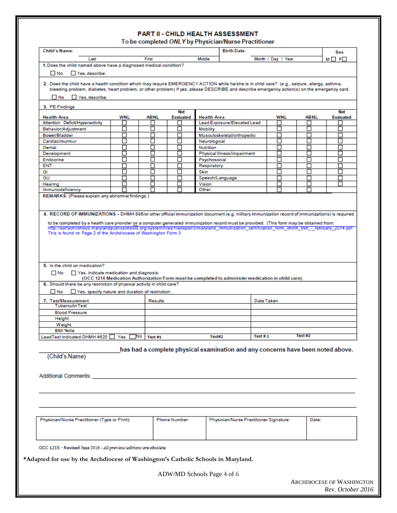#### PART II - CHILD HEALTH ASSESSMENT

To be completed ONLY by Physician/Nurse Practitioner

| Last<br>1. Does the child named above have a diagnosed medical condition?<br>Yes, describe:<br><b>⊟</b> No<br>2. Does the child have a health condition which may require EMERGENCY ACTION while he/she is in child care? (e.g., seizure, allergy, asthma,<br>bleeding problem, diabetes, heart problem, or other problem) If yes, please DESCRIBE and describe emergency action(s) on the emergency card.<br>No Yes, describe:<br>3. PE Findings<br><b>Health Area</b><br>Attention Deficit/Hyperactivity<br>Behavior/Adjustment<br>Bowel/Bladder<br>Cardiac/murmur<br>Dental<br>Development<br>Endocrine<br><b>ENT</b><br>GI<br>GU<br>Hearing<br>Immunodeficiency<br>REMARKS: (Please explain any abnormal findings.)<br>4. RECORD OF IMMUNIZATIONS - DHMH 896/or other official immunization document (e.g. military immunization record of immunizations) is required<br>to be completed by a health care provider or a computer generated immunization record must be provided. (This form may be obtained from:<br>http://earlychildhood.marylandpublicschools.org/system/files/filedepot/3/maryland_immunization_certification_form_dhmh_896_-_february_2014.pdf<br>This is found on Page 2 of the Archdiocese of Washington Form 3 | WNL<br>П<br>П<br>П<br>$\Box$<br>H<br>ப<br>П<br>П<br>□<br>П<br>П | First<br><b>ABNL</b><br>П<br>П<br>г<br>□<br>г<br>Ш<br>П<br>г<br>□<br>П<br>П<br>П | <b>Not</b><br><b>Evaluated</b><br>H<br>П<br>Г<br>П<br>П<br>ΙI<br>П<br>П<br>П<br>П<br>П<br>┍ | Middle<br><b>Health Area</b><br>Lead Exposure/Elevated Lead<br><b>Mobility</b><br>Musculoskeletal/orthopedic<br>Neurological<br>Nutrition<br>Physical Illness/Impairment<br>Psychosocial<br>Respiratory<br>Skin<br>Speech/Language<br>Vision<br>Other: | Month / Day / Year<br><b>WNL</b><br>г<br>П<br>П<br>L<br>г<br>ப<br>П<br>П<br>□<br>П<br>П |         | <b>ABNL</b><br>П<br>П<br>П<br>Ш<br>П<br>П<br>П<br>П | $M \Box F$<br><b>Not</b><br><b>Evaluated</b><br>П<br>П<br>П<br>$\Box$<br>П<br>$\Box$<br>П<br>П<br>□<br>П<br>П |
|--------------------------------------------------------------------------------------------------------------------------------------------------------------------------------------------------------------------------------------------------------------------------------------------------------------------------------------------------------------------------------------------------------------------------------------------------------------------------------------------------------------------------------------------------------------------------------------------------------------------------------------------------------------------------------------------------------------------------------------------------------------------------------------------------------------------------------------------------------------------------------------------------------------------------------------------------------------------------------------------------------------------------------------------------------------------------------------------------------------------------------------------------------------------------------------------------------------------------------------------|-----------------------------------------------------------------|----------------------------------------------------------------------------------|---------------------------------------------------------------------------------------------|--------------------------------------------------------------------------------------------------------------------------------------------------------------------------------------------------------------------------------------------------------|-----------------------------------------------------------------------------------------|---------|-----------------------------------------------------|---------------------------------------------------------------------------------------------------------------|
|                                                                                                                                                                                                                                                                                                                                                                                                                                                                                                                                                                                                                                                                                                                                                                                                                                                                                                                                                                                                                                                                                                                                                                                                                                            |                                                                 |                                                                                  |                                                                                             |                                                                                                                                                                                                                                                        |                                                                                         |         |                                                     |                                                                                                               |
|                                                                                                                                                                                                                                                                                                                                                                                                                                                                                                                                                                                                                                                                                                                                                                                                                                                                                                                                                                                                                                                                                                                                                                                                                                            |                                                                 |                                                                                  |                                                                                             |                                                                                                                                                                                                                                                        |                                                                                         |         |                                                     |                                                                                                               |
|                                                                                                                                                                                                                                                                                                                                                                                                                                                                                                                                                                                                                                                                                                                                                                                                                                                                                                                                                                                                                                                                                                                                                                                                                                            |                                                                 |                                                                                  |                                                                                             |                                                                                                                                                                                                                                                        |                                                                                         |         |                                                     |                                                                                                               |
|                                                                                                                                                                                                                                                                                                                                                                                                                                                                                                                                                                                                                                                                                                                                                                                                                                                                                                                                                                                                                                                                                                                                                                                                                                            |                                                                 |                                                                                  |                                                                                             |                                                                                                                                                                                                                                                        |                                                                                         |         |                                                     |                                                                                                               |
|                                                                                                                                                                                                                                                                                                                                                                                                                                                                                                                                                                                                                                                                                                                                                                                                                                                                                                                                                                                                                                                                                                                                                                                                                                            |                                                                 |                                                                                  |                                                                                             |                                                                                                                                                                                                                                                        |                                                                                         |         |                                                     |                                                                                                               |
|                                                                                                                                                                                                                                                                                                                                                                                                                                                                                                                                                                                                                                                                                                                                                                                                                                                                                                                                                                                                                                                                                                                                                                                                                                            |                                                                 |                                                                                  |                                                                                             |                                                                                                                                                                                                                                                        |                                                                                         |         |                                                     |                                                                                                               |
|                                                                                                                                                                                                                                                                                                                                                                                                                                                                                                                                                                                                                                                                                                                                                                                                                                                                                                                                                                                                                                                                                                                                                                                                                                            |                                                                 |                                                                                  |                                                                                             |                                                                                                                                                                                                                                                        |                                                                                         |         |                                                     |                                                                                                               |
|                                                                                                                                                                                                                                                                                                                                                                                                                                                                                                                                                                                                                                                                                                                                                                                                                                                                                                                                                                                                                                                                                                                                                                                                                                            |                                                                 |                                                                                  |                                                                                             |                                                                                                                                                                                                                                                        |                                                                                         |         |                                                     |                                                                                                               |
|                                                                                                                                                                                                                                                                                                                                                                                                                                                                                                                                                                                                                                                                                                                                                                                                                                                                                                                                                                                                                                                                                                                                                                                                                                            |                                                                 |                                                                                  |                                                                                             |                                                                                                                                                                                                                                                        |                                                                                         |         |                                                     |                                                                                                               |
|                                                                                                                                                                                                                                                                                                                                                                                                                                                                                                                                                                                                                                                                                                                                                                                                                                                                                                                                                                                                                                                                                                                                                                                                                                            |                                                                 |                                                                                  |                                                                                             |                                                                                                                                                                                                                                                        |                                                                                         |         |                                                     |                                                                                                               |
|                                                                                                                                                                                                                                                                                                                                                                                                                                                                                                                                                                                                                                                                                                                                                                                                                                                                                                                                                                                                                                                                                                                                                                                                                                            |                                                                 |                                                                                  |                                                                                             |                                                                                                                                                                                                                                                        |                                                                                         |         |                                                     |                                                                                                               |
|                                                                                                                                                                                                                                                                                                                                                                                                                                                                                                                                                                                                                                                                                                                                                                                                                                                                                                                                                                                                                                                                                                                                                                                                                                            |                                                                 |                                                                                  |                                                                                             |                                                                                                                                                                                                                                                        |                                                                                         |         |                                                     |                                                                                                               |
|                                                                                                                                                                                                                                                                                                                                                                                                                                                                                                                                                                                                                                                                                                                                                                                                                                                                                                                                                                                                                                                                                                                                                                                                                                            |                                                                 |                                                                                  |                                                                                             |                                                                                                                                                                                                                                                        |                                                                                         |         |                                                     |                                                                                                               |
|                                                                                                                                                                                                                                                                                                                                                                                                                                                                                                                                                                                                                                                                                                                                                                                                                                                                                                                                                                                                                                                                                                                                                                                                                                            |                                                                 |                                                                                  |                                                                                             |                                                                                                                                                                                                                                                        |                                                                                         |         |                                                     |                                                                                                               |
|                                                                                                                                                                                                                                                                                                                                                                                                                                                                                                                                                                                                                                                                                                                                                                                                                                                                                                                                                                                                                                                                                                                                                                                                                                            |                                                                 |                                                                                  |                                                                                             |                                                                                                                                                                                                                                                        |                                                                                         |         |                                                     |                                                                                                               |
|                                                                                                                                                                                                                                                                                                                                                                                                                                                                                                                                                                                                                                                                                                                                                                                                                                                                                                                                                                                                                                                                                                                                                                                                                                            |                                                                 |                                                                                  |                                                                                             |                                                                                                                                                                                                                                                        |                                                                                         |         |                                                     |                                                                                                               |
|                                                                                                                                                                                                                                                                                                                                                                                                                                                                                                                                                                                                                                                                                                                                                                                                                                                                                                                                                                                                                                                                                                                                                                                                                                            |                                                                 |                                                                                  |                                                                                             |                                                                                                                                                                                                                                                        |                                                                                         |         |                                                     |                                                                                                               |
|                                                                                                                                                                                                                                                                                                                                                                                                                                                                                                                                                                                                                                                                                                                                                                                                                                                                                                                                                                                                                                                                                                                                                                                                                                            |                                                                 |                                                                                  |                                                                                             |                                                                                                                                                                                                                                                        |                                                                                         |         |                                                     |                                                                                                               |
|                                                                                                                                                                                                                                                                                                                                                                                                                                                                                                                                                                                                                                                                                                                                                                                                                                                                                                                                                                                                                                                                                                                                                                                                                                            |                                                                 |                                                                                  |                                                                                             |                                                                                                                                                                                                                                                        |                                                                                         |         |                                                     |                                                                                                               |
|                                                                                                                                                                                                                                                                                                                                                                                                                                                                                                                                                                                                                                                                                                                                                                                                                                                                                                                                                                                                                                                                                                                                                                                                                                            |                                                                 |                                                                                  |                                                                                             |                                                                                                                                                                                                                                                        |                                                                                         |         |                                                     |                                                                                                               |
|                                                                                                                                                                                                                                                                                                                                                                                                                                                                                                                                                                                                                                                                                                                                                                                                                                                                                                                                                                                                                                                                                                                                                                                                                                            |                                                                 |                                                                                  |                                                                                             |                                                                                                                                                                                                                                                        |                                                                                         |         |                                                     |                                                                                                               |
|                                                                                                                                                                                                                                                                                                                                                                                                                                                                                                                                                                                                                                                                                                                                                                                                                                                                                                                                                                                                                                                                                                                                                                                                                                            |                                                                 |                                                                                  |                                                                                             |                                                                                                                                                                                                                                                        |                                                                                         |         |                                                     |                                                                                                               |
| Yes, indicate medication and diagnosis:<br><b>No</b><br>6. Should there be any restriction of physical activity in child care?                                                                                                                                                                                                                                                                                                                                                                                                                                                                                                                                                                                                                                                                                                                                                                                                                                                                                                                                                                                                                                                                                                             |                                                                 |                                                                                  |                                                                                             | (OCC 1216 Medication Authorization Form must be completed to administer medication in child care).                                                                                                                                                     |                                                                                         |         |                                                     |                                                                                                               |
| Yes, specify nature and duration of restriction:<br>$\blacksquare$ No                                                                                                                                                                                                                                                                                                                                                                                                                                                                                                                                                                                                                                                                                                                                                                                                                                                                                                                                                                                                                                                                                                                                                                      |                                                                 |                                                                                  |                                                                                             |                                                                                                                                                                                                                                                        |                                                                                         |         |                                                     |                                                                                                               |
| 7. Test/Measurement                                                                                                                                                                                                                                                                                                                                                                                                                                                                                                                                                                                                                                                                                                                                                                                                                                                                                                                                                                                                                                                                                                                                                                                                                        |                                                                 | Results                                                                          |                                                                                             |                                                                                                                                                                                                                                                        | Date Taken                                                                              |         |                                                     |                                                                                                               |
| <b>Tuberculin Test</b>                                                                                                                                                                                                                                                                                                                                                                                                                                                                                                                                                                                                                                                                                                                                                                                                                                                                                                                                                                                                                                                                                                                                                                                                                     |                                                                 |                                                                                  |                                                                                             |                                                                                                                                                                                                                                                        |                                                                                         |         |                                                     |                                                                                                               |
| <b>Blood Pressure</b>                                                                                                                                                                                                                                                                                                                                                                                                                                                                                                                                                                                                                                                                                                                                                                                                                                                                                                                                                                                                                                                                                                                                                                                                                      |                                                                 |                                                                                  |                                                                                             |                                                                                                                                                                                                                                                        |                                                                                         |         |                                                     |                                                                                                               |
| Height                                                                                                                                                                                                                                                                                                                                                                                                                                                                                                                                                                                                                                                                                                                                                                                                                                                                                                                                                                                                                                                                                                                                                                                                                                     |                                                                 |                                                                                  |                                                                                             |                                                                                                                                                                                                                                                        |                                                                                         |         |                                                     |                                                                                                               |
| Weight                                                                                                                                                                                                                                                                                                                                                                                                                                                                                                                                                                                                                                                                                                                                                                                                                                                                                                                                                                                                                                                                                                                                                                                                                                     |                                                                 |                                                                                  |                                                                                             |                                                                                                                                                                                                                                                        |                                                                                         |         |                                                     |                                                                                                               |
| <b>BMI %tile</b>                                                                                                                                                                                                                                                                                                                                                                                                                                                                                                                                                                                                                                                                                                                                                                                                                                                                                                                                                                                                                                                                                                                                                                                                                           |                                                                 |                                                                                  |                                                                                             |                                                                                                                                                                                                                                                        |                                                                                         |         |                                                     |                                                                                                               |
| LeadTest Indicated: DHMH 4620   Yes                                                                                                                                                                                                                                                                                                                                                                                                                                                                                                                                                                                                                                                                                                                                                                                                                                                                                                                                                                                                                                                                                                                                                                                                        |                                                                 | No<br>Test #1                                                                    |                                                                                             | Test#2                                                                                                                                                                                                                                                 | Test #1                                                                                 | Test #2 |                                                     |                                                                                                               |
|                                                                                                                                                                                                                                                                                                                                                                                                                                                                                                                                                                                                                                                                                                                                                                                                                                                                                                                                                                                                                                                                                                                                                                                                                                            |                                                                 |                                                                                  |                                                                                             |                                                                                                                                                                                                                                                        |                                                                                         |         |                                                     |                                                                                                               |
|                                                                                                                                                                                                                                                                                                                                                                                                                                                                                                                                                                                                                                                                                                                                                                                                                                                                                                                                                                                                                                                                                                                                                                                                                                            |                                                                 |                                                                                  |                                                                                             | has had a complete physical examination and any concerns have been noted above.                                                                                                                                                                        |                                                                                         |         |                                                     |                                                                                                               |
| (Child's Name)                                                                                                                                                                                                                                                                                                                                                                                                                                                                                                                                                                                                                                                                                                                                                                                                                                                                                                                                                                                                                                                                                                                                                                                                                             |                                                                 |                                                                                  |                                                                                             |                                                                                                                                                                                                                                                        |                                                                                         |         |                                                     |                                                                                                               |
|                                                                                                                                                                                                                                                                                                                                                                                                                                                                                                                                                                                                                                                                                                                                                                                                                                                                                                                                                                                                                                                                                                                                                                                                                                            |                                                                 |                                                                                  |                                                                                             |                                                                                                                                                                                                                                                        |                                                                                         |         |                                                     |                                                                                                               |
|                                                                                                                                                                                                                                                                                                                                                                                                                                                                                                                                                                                                                                                                                                                                                                                                                                                                                                                                                                                                                                                                                                                                                                                                                                            |                                                                 |                                                                                  |                                                                                             |                                                                                                                                                                                                                                                        |                                                                                         |         |                                                     |                                                                                                               |
| Additional Comments:                                                                                                                                                                                                                                                                                                                                                                                                                                                                                                                                                                                                                                                                                                                                                                                                                                                                                                                                                                                                                                                                                                                                                                                                                       |                                                                 |                                                                                  |                                                                                             |                                                                                                                                                                                                                                                        |                                                                                         |         |                                                     |                                                                                                               |
|                                                                                                                                                                                                                                                                                                                                                                                                                                                                                                                                                                                                                                                                                                                                                                                                                                                                                                                                                                                                                                                                                                                                                                                                                                            |                                                                 |                                                                                  |                                                                                             |                                                                                                                                                                                                                                                        |                                                                                         |         |                                                     |                                                                                                               |
|                                                                                                                                                                                                                                                                                                                                                                                                                                                                                                                                                                                                                                                                                                                                                                                                                                                                                                                                                                                                                                                                                                                                                                                                                                            |                                                                 |                                                                                  |                                                                                             |                                                                                                                                                                                                                                                        |                                                                                         |         |                                                     |                                                                                                               |
|                                                                                                                                                                                                                                                                                                                                                                                                                                                                                                                                                                                                                                                                                                                                                                                                                                                                                                                                                                                                                                                                                                                                                                                                                                            |                                                                 |                                                                                  |                                                                                             |                                                                                                                                                                                                                                                        |                                                                                         |         |                                                     |                                                                                                               |
|                                                                                                                                                                                                                                                                                                                                                                                                                                                                                                                                                                                                                                                                                                                                                                                                                                                                                                                                                                                                                                                                                                                                                                                                                                            |                                                                 |                                                                                  |                                                                                             |                                                                                                                                                                                                                                                        |                                                                                         |         |                                                     |                                                                                                               |
|                                                                                                                                                                                                                                                                                                                                                                                                                                                                                                                                                                                                                                                                                                                                                                                                                                                                                                                                                                                                                                                                                                                                                                                                                                            |                                                                 |                                                                                  |                                                                                             |                                                                                                                                                                                                                                                        |                                                                                         |         |                                                     |                                                                                                               |
| Physician/Nurse Practitioner (Type or Print):                                                                                                                                                                                                                                                                                                                                                                                                                                                                                                                                                                                                                                                                                                                                                                                                                                                                                                                                                                                                                                                                                                                                                                                              |                                                                 |                                                                                  | Phone Number:                                                                               | Physician/Nurse Practitioner Signature:                                                                                                                                                                                                                |                                                                                         |         | Date:                                               |                                                                                                               |
|                                                                                                                                                                                                                                                                                                                                                                                                                                                                                                                                                                                                                                                                                                                                                                                                                                                                                                                                                                                                                                                                                                                                                                                                                                            |                                                                 |                                                                                  |                                                                                             |                                                                                                                                                                                                                                                        |                                                                                         |         |                                                     |                                                                                                               |
|                                                                                                                                                                                                                                                                                                                                                                                                                                                                                                                                                                                                                                                                                                                                                                                                                                                                                                                                                                                                                                                                                                                                                                                                                                            |                                                                 |                                                                                  |                                                                                             |                                                                                                                                                                                                                                                        |                                                                                         |         |                                                     |                                                                                                               |
|                                                                                                                                                                                                                                                                                                                                                                                                                                                                                                                                                                                                                                                                                                                                                                                                                                                                                                                                                                                                                                                                                                                                                                                                                                            |                                                                 |                                                                                  |                                                                                             |                                                                                                                                                                                                                                                        |                                                                                         |         |                                                     |                                                                                                               |
|                                                                                                                                                                                                                                                                                                                                                                                                                                                                                                                                                                                                                                                                                                                                                                                                                                                                                                                                                                                                                                                                                                                                                                                                                                            |                                                                 |                                                                                  |                                                                                             |                                                                                                                                                                                                                                                        |                                                                                         |         |                                                     |                                                                                                               |
|                                                                                                                                                                                                                                                                                                                                                                                                                                                                                                                                                                                                                                                                                                                                                                                                                                                                                                                                                                                                                                                                                                                                                                                                                                            |                                                                 |                                                                                  |                                                                                             |                                                                                                                                                                                                                                                        |                                                                                         |         |                                                     |                                                                                                               |
| OCC 1215 - Revised June 2016 - All previous editions are obsolete.                                                                                                                                                                                                                                                                                                                                                                                                                                                                                                                                                                                                                                                                                                                                                                                                                                                                                                                                                                                                                                                                                                                                                                         |                                                                 |                                                                                  |                                                                                             |                                                                                                                                                                                                                                                        |                                                                                         |         |                                                     |                                                                                                               |
|                                                                                                                                                                                                                                                                                                                                                                                                                                                                                                                                                                                                                                                                                                                                                                                                                                                                                                                                                                                                                                                                                                                                                                                                                                            |                                                                 |                                                                                  |                                                                                             |                                                                                                                                                                                                                                                        |                                                                                         |         |                                                     |                                                                                                               |
| *Adapted for use by the Archdiocese of Washington's Catholic Schools in Maryland.                                                                                                                                                                                                                                                                                                                                                                                                                                                                                                                                                                                                                                                                                                                                                                                                                                                                                                                                                                                                                                                                                                                                                          |                                                                 |                                                                                  |                                                                                             |                                                                                                                                                                                                                                                        |                                                                                         |         |                                                     |                                                                                                               |

ARCHDIOCESE OF WASHINGTON *Rev. October 2016*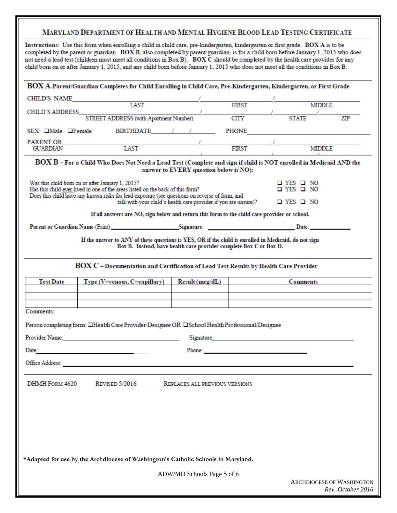### MARYLAND DEPARTMENT OF HEALTH AND MENTAL HYGIENE BLOOD LEAD TESTING CERTIFICATE

Instructions: Use this form when enrolling a child in child care, pre-kindergarten, kindergarten or first grade. BOX A is to be completed by the parent or guardian. BOX B, also completed by parent/guardian, is for a child born before January 1, 2015 who does not need a lead test (children must meet all conditions in Box B). BOX C should be completed by the health care provider for any child born on or after January 1, 2015, and any child born before January 1, 2015 who does not meet all the conditions in Box B.

|                                  | BOX A-Parent/Guardian Completes for Child Enrolling in Child Care, Pre-Kindergarten, Kindergarten, or First Grade                                                                                                              |                                                                    |              |                                                                                                                                                                                                                                      |                                                       |
|----------------------------------|--------------------------------------------------------------------------------------------------------------------------------------------------------------------------------------------------------------------------------|--------------------------------------------------------------------|--------------|--------------------------------------------------------------------------------------------------------------------------------------------------------------------------------------------------------------------------------------|-------------------------------------------------------|
|                                  | CHILD'S NAME<br>LAST                                                                                                                                                                                                           |                                                                    |              |                                                                                                                                                                                                                                      |                                                       |
| CHILD'S ADDRESS                  |                                                                                                                                                                                                                                |                                                                    | <b>FIRST</b> | <b>MIDDLE</b>                                                                                                                                                                                                                        |                                                       |
|                                  | STREET ADDRESS (with Apartment Number)                                                                                                                                                                                         |                                                                    | <b>CITY</b>  | <b>STATE</b>                                                                                                                                                                                                                         | ZIP                                                   |
| $SEX:$ $\Box$ Male $\Box$ Female | BIRTHDATE / /                                                                                                                                                                                                                  |                                                                    |              | PHONE PHONE                                                                                                                                                                                                                          |                                                       |
|                                  | PARENT OR<br>LAST                                                                                                                                                                                                              |                                                                    | FIRST        | <b>MIDDLE</b>                                                                                                                                                                                                                        |                                                       |
|                                  |                                                                                                                                                                                                                                |                                                                    |              |                                                                                                                                                                                                                                      |                                                       |
|                                  | BOX B – For a Child Who Does Not Need a Lead Test (Complete and sign if child is NOT enrolled in Medicaid AND the                                                                                                              | answer to EVERY question below is NO):                             |              |                                                                                                                                                                                                                                      |                                                       |
|                                  | Was this child bom on or after January 1, 2015?<br>Has this child ever lived in one of the areas listed on the back of this form?                                                                                              |                                                                    |              | $\Box$ YES $\Box$ NO<br>□ YES □ NO                                                                                                                                                                                                   |                                                       |
|                                  | Does this child have any known risks for lead exposure (see questions on reverse of form, and                                                                                                                                  | talk with your child's health care provider if you are unsure)?    |              | $\Box$ YES $\Box$ NO                                                                                                                                                                                                                 |                                                       |
|                                  | If all answers are NO, sign below and return this form to the child care provider or school.                                                                                                                                   |                                                                    |              |                                                                                                                                                                                                                                      |                                                       |
|                                  | Parent or Guardian Name (Print): Signature: Signature: Date: Date: Date:                                                                                                                                                       |                                                                    |              |                                                                                                                                                                                                                                      |                                                       |
|                                  | If the answer to ANY of these questions is YES, OR if the child is enrolled in Medicaid, do not sign                                                                                                                           | Box B. Instead, have health care provider complete Box C or Box D. |              |                                                                                                                                                                                                                                      |                                                       |
|                                  | BOX C - Documentation and Certification of Lead Test Results by Health Care Provider                                                                                                                                           |                                                                    |              |                                                                                                                                                                                                                                      |                                                       |
| <b>Test Date</b>                 | Type (V=venous, C=capillary)                                                                                                                                                                                                   | Result (mcg/dL)                                                    |              | <b>Comments</b>                                                                                                                                                                                                                      |                                                       |
|                                  |                                                                                                                                                                                                                                |                                                                    |              |                                                                                                                                                                                                                                      |                                                       |
|                                  |                                                                                                                                                                                                                                |                                                                    |              |                                                                                                                                                                                                                                      |                                                       |
| Comments:                        |                                                                                                                                                                                                                                |                                                                    |              |                                                                                                                                                                                                                                      |                                                       |
|                                  | Person completing form: IHealth Care Provider/Designee OR ISchool Health Professional/Designee                                                                                                                                 |                                                                    |              |                                                                                                                                                                                                                                      |                                                       |
|                                  | Provider Name: The Contract of the Contract of the Contract of the Contract of the Contract of the Contract of the Contract of the Contract of the Contract of the Contract of the Contract of the Contract of the Contract of |                                                                    |              | Signature: The contract of the contract of the contract of the contract of the contract of the contract of the contract of the contract of the contract of the contract of the contract of the contract of the contract of the       |                                                       |
| Date:                            | <u> 1980 - Andrea Albert III, martin a bh</u>                                                                                                                                                                                  |                                                                    |              | Phone: <u>All and the same of the same of the same of the same of the same of the same of the same of the same of the same of the same of the same of the same of the same of the same of the same of the same of the same of th</u> |                                                       |
|                                  |                                                                                                                                                                                                                                |                                                                    |              |                                                                                                                                                                                                                                      |                                                       |
| DHMH FORM 4620                   | <b>REVISED 5/2016</b>                                                                                                                                                                                                          | REPLACES ALL PREVIOUS VERSIONS                                     |              |                                                                                                                                                                                                                                      |                                                       |
|                                  |                                                                                                                                                                                                                                |                                                                    |              |                                                                                                                                                                                                                                      |                                                       |
|                                  |                                                                                                                                                                                                                                |                                                                    |              |                                                                                                                                                                                                                                      |                                                       |
|                                  |                                                                                                                                                                                                                                |                                                                    |              |                                                                                                                                                                                                                                      |                                                       |
|                                  |                                                                                                                                                                                                                                |                                                                    |              |                                                                                                                                                                                                                                      |                                                       |
|                                  |                                                                                                                                                                                                                                |                                                                    |              |                                                                                                                                                                                                                                      |                                                       |
|                                  | *Adapted for use by the Archdiocese of Washington's Catholic Schools in Maryland.                                                                                                                                              |                                                                    |              |                                                                                                                                                                                                                                      |                                                       |
|                                  |                                                                                                                                                                                                                                | ADW/MD Schools Page 5 of 6                                         |              |                                                                                                                                                                                                                                      |                                                       |
|                                  |                                                                                                                                                                                                                                |                                                                    |              |                                                                                                                                                                                                                                      | <b>ARCHDIOCESE OF WASHINGTON</b><br>Rev. October 2016 |